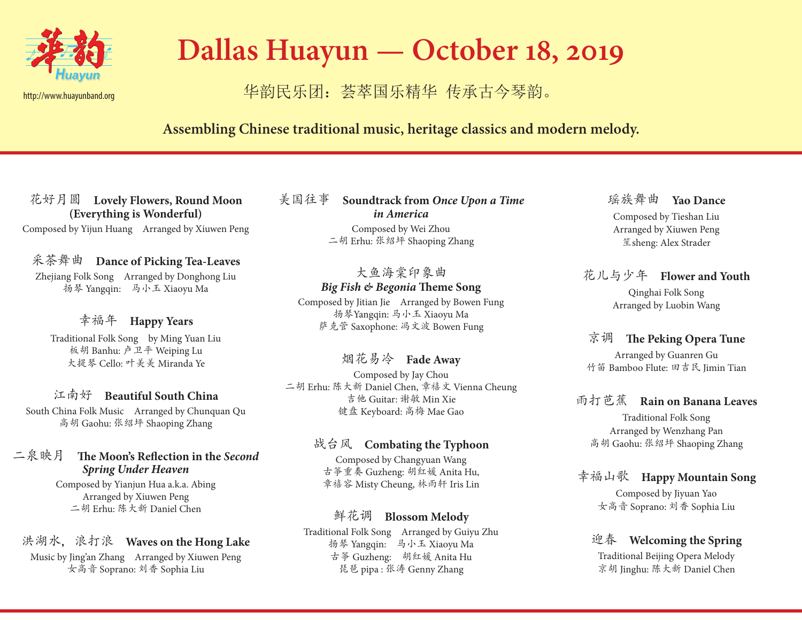

# **Dallas Huayun — October 18, 2019**

## 华韵民乐团: 荟萃国乐精华 传承古今琴韵。

### **Assembling Chinese traditional music, heritage classics and modern melody.**

花好月圆 **Lovely Flowers, Round Moon (Everything is Wonderful)**

Composed by Yijun Huang Arranged by Xiuwen Peng

#### 采茶舞曲 **Dance of Picking Tea-Leaves**

Zhejiang Folk Song Arranged by Donghong Liu 扬琴 Yangqin: 马小玉 Xiaoyu Ma

#### 幸福年 **Happy Years**

Traditional Folk Song by Ming Yuan Liu 板胡 Banhu: 卢卫平 Weiping Lu 大提琴 Cello: 叶美美 Miranda Ye

#### 江南好 **Beautiful South China**

South China Folk Music Arranged by Chunquan Qu 高胡 Gaohu: 张绍坪 Shaoping Zhang

#### 二泉映月 **The Moon's Reflection in the** *Second Spring Under Heaven*

Composed by Yianjun Hua a.k.a. Abing Arranged by Xiuwen Peng 二胡 Erhu: 陈大新 Daniel Chen

#### 洪湖水,浪打浪 **Waves on the Hong Lake**

Music by Jing'an Zhang Arranged by Xiuwen Peng 女高音 Soprano: 刘香 Sophia Liu

美国往事 **Soundtrack from** *Once Upon a Time in America* Composed by Wei Zhou 二胡 Erhu: 张绍坪 Shaoping Zhang

#### 大鱼海棠印象曲 *Big Fish & Begonia* **Theme Song**

Composed by Jitian Jie Arranged by Bowen Fung 扬琴Yangqin: 马小玉 Xiaoyu Ma 萨克管 Saxophone: 冯文波 Bowen Fung

#### 烟花易冷 **Fade Away**

Composed by Jay Chou 二胡 Erhu: 陈大新 Daniel Chen, 章禧文 Vienna Cheung 吉他 Guitar: 谢敏 Min Xie 键盘 Keyboard: 高梅 Mae Gao

#### 战台风 **Combating the Typhoon**

Composed by Changyuan Wang 古筝重奏 Guzheng: 胡红媛 Anita Hu, 章禧容 Misty Cheung, 林雨轩 Iris Lin

#### 鲜花调 **Blossom Melody**

Traditional Folk Song Arranged by Guiyu Zhu 扬琴 Yangqin: 马小玉 Xiaoyu Ma 古筝 Guzheng: 胡红媛 Anita Hu 琵琶 pipa : 张涛 Genny Zhang

瑶族舞曲 **Yao Dance** Composed by Tieshan Liu Arranged by Xiuwen Peng 笙sheng: Alex Strader

#### 花儿与少年 **Flower and Youth** Qinghai Folk Song Arranged by Luobin Wang

#### 京调 **The Peking Opera Tune**

Arranged by Guanren Gu 竹笛 Bamboo Flute: 田吉民 Jimin Tian

#### 雨打芭蕉 **Rain on Banana Leaves**

Traditional Folk Song Arranged by Wenzhang Pan 高胡 Gaohu: 张绍坪 Shaoping Zhang

#### 幸福山歌 **Happy Mountain Song**

Composed by Jiyuan Yao 女高音 Soprano: 刘香 Sophia Liu

#### 迎春 **Welcoming the Spring**

Traditional Beijing Opera Melody 京胡 Jinghu: 陈大新 Daniel Chen